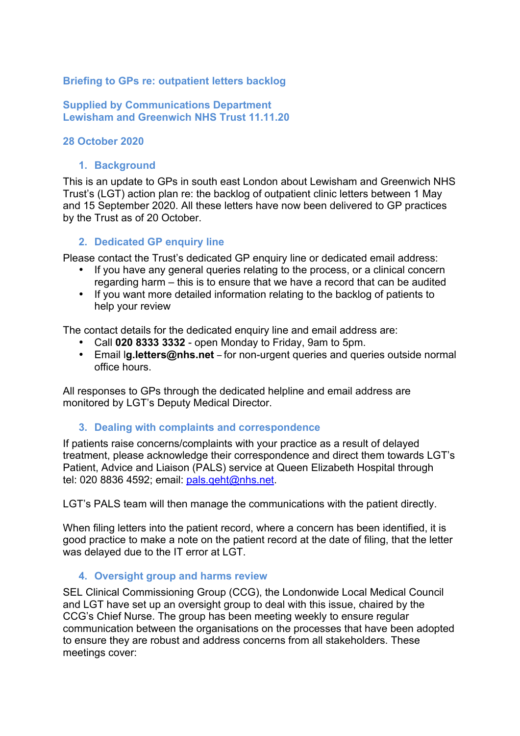# **Briefing to GPs re: outpatient letters backlog**

# **Supplied by Communications Department Lewisham and Greenwich NHS Trust 11.11.20**

## **28 October 2020**

### **1. Background**

This is an update to GPs in south east London about Lewisham and Greenwich NHS Trust's (LGT) action plan re: the backlog of outpatient clinic letters between 1 May and 15 September 2020. All these letters have now been delivered to GP practices by the Trust as of 20 October.

## **2. Dedicated GP enquiry line**

Please contact the Trust's dedicated GP enquiry line or dedicated email address:

- If you have any general queries relating to the process, or a clinical concern regarding harm – this is to ensure that we have a record that can be audited
- If you want more detailed information relating to the backlog of patients to help your review

The contact details for the dedicated enquiry line and email address are:

- Call **020 8333 3332**  open Monday to Friday, 9am to 5pm.
- Email l**g.letters@nhs.net** for non-urgent queries and queries outside normal office hours.

All responses to GPs through the dedicated helpline and email address are monitored by LGT's Deputy Medical Director.

#### **3. Dealing with complaints and correspondence**

If patients raise concerns/complaints with your practice as a result of delayed treatment, please acknowledge their correspondence and direct them towards LGT's Patient, Advice and Liaison (PALS) service at Queen Elizabeth Hospital through tel: 020 8836 4592; email: pals.qeht@nhs.net.

LGT's PALS team will then manage the communications with the patient directly.

When filing letters into the patient record, where a concern has been identified, it is good practice to make a note on the patient record at the date of filing, that the letter was delayed due to the IT error at LGT.

## **4. Oversight group and harms review**

SEL Clinical Commissioning Group (CCG), the Londonwide Local Medical Council and LGT have set up an oversight group to deal with this issue, chaired by the CCG's Chief Nurse. The group has been meeting weekly to ensure regular communication between the organisations on the processes that have been adopted to ensure they are robust and address concerns from all stakeholders. These meetings cover: